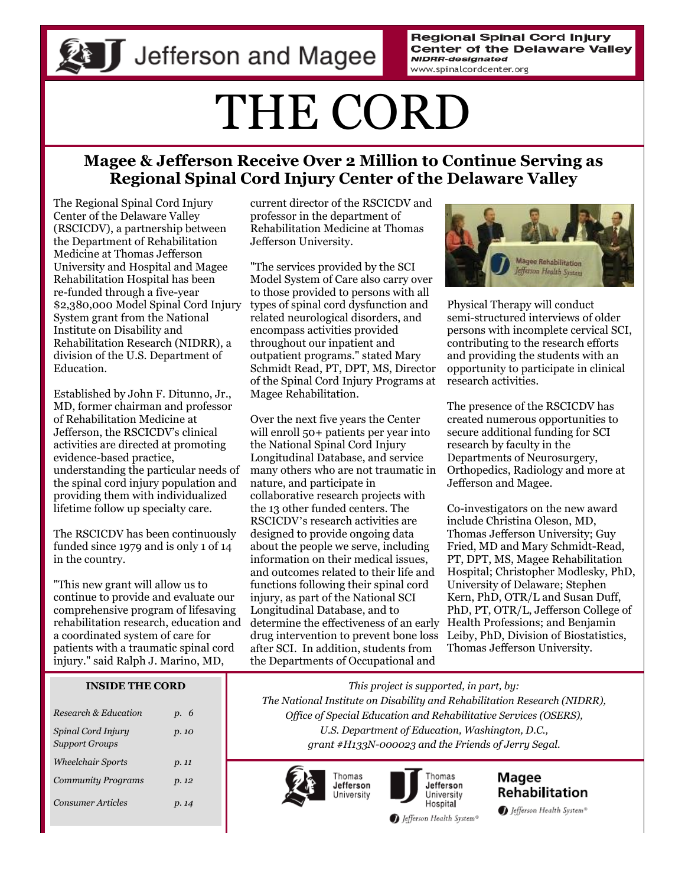**Regional Spinal Cord Injury Center of the Delaware Valley NIDRR-designated** www.spinalcordcenter.org

# THE CORD

## **Magee & Jefferson Receive Over 2 Million to Continue Serving as Regional Spinal Cord Injury Center of the Delaware Valley**

The Regional Spinal Cord Injury Center of the Delaware Valley (RSCICDV), a partnership between the Department of Rehabilitation Medicine at Thomas Jefferson University and Hospital and Magee Rehabilitation Hospital has been re-funded through a five-year \$2,380,000 Model Spinal Cord Injury System grant from the National Institute on Disability and Rehabilitation Research (NIDRR), a division of the U.S. Department of Education.

Established by John F. Ditunno, Jr., MD, former chairman and professor of Rehabilitation Medicine at Jefferson, the RSCICDV's clinical activities are directed at promoting evidence-based practice, understanding the particular needs of the spinal cord injury population and providing them with individualized lifetime follow up specialty care.

The RSCICDV has been continuously funded since 1979 and is only 1 of 14 in the country.

"This new grant will allow us to continue to provide and evaluate our comprehensive program of lifesaving rehabilitation research, education and a coordinated system of care for patients with a traumatic spinal cord injury." said Ralph J. Marino, MD,

#### **INSIDE THE CORD**

| Research & Education                        | p. 6  |
|---------------------------------------------|-------|
| Spinal Cord Injury<br><b>Support Groups</b> | p. 10 |
| <i><b>Wheelchair Sports</b></i>             | p. 11 |
| <b>Community Programs</b>                   | p. 12 |
| Consumer Articles                           | p. 14 |

current director of the RSCICDV and professor in the department of Rehabilitation Medicine at Thomas Jefferson University.

"The services provided by the SCI Model System of Care also carry over to those provided to persons with all types of spinal cord dysfunction and related neurological disorders, and encompass activities provided throughout our inpatient and outpatient programs." stated Mary Schmidt Read, PT, DPT, MS, Director of the Spinal Cord Injury Programs at Magee Rehabilitation.

Over the next five years the Center will enroll 50+ patients per year into the National Spinal Cord Injury Longitudinal Database, and service many others who are not traumatic in nature, and participate in collaborative research projects with the 13 other funded centers. The RSCICDV's research activities are designed to provide ongoing data about the people we serve, including information on their medical issues, and outcomes related to their life and functions following their spinal cord injury, as part of the National SCI Longitudinal Database, and to determine the effectiveness of an early drug intervention to prevent bone loss after SCI. In addition, students from the Departments of Occupational and



Physical Therapy will conduct semi-structured interviews of older persons with incomplete cervical SCI, contributing to the research efforts and providing the students with an opportunity to participate in clinical research activities.

The presence of the RSCICDV has created numerous opportunities to secure additional funding for SCI research by faculty in the Departments of Neurosurgery, Orthopedics, Radiology and more at Jefferson and Magee.

Co-investigators on the new award include Christina Oleson, MD, Thomas Jefferson University; Guy Fried, MD and Mary Schmidt-Read, PT, DPT, MS, Magee Rehabilitation Hospital; Christopher Modlesky, PhD, University of Delaware; Stephen Kern, PhD, OTR/L and Susan Duff, PhD, PT, OTR/L, Jefferson College of Health Professions; and Benjamin Leiby, PhD, Division of Biostatistics, Thomas Jefferson University.

*This project is supported, in part, by: The National Institute on Disability and Rehabilitation Research (NIDRR), Office of Special Education and Rehabilitative Services (OSERS), U.S. Department of Education, Washington, D.C., grant #H133N-000023 and the Friends of Jerry Segal.*





Jefferson University Hospital

Magee **Rehabilitation** Jefferson Health System®

Jefferson Health System®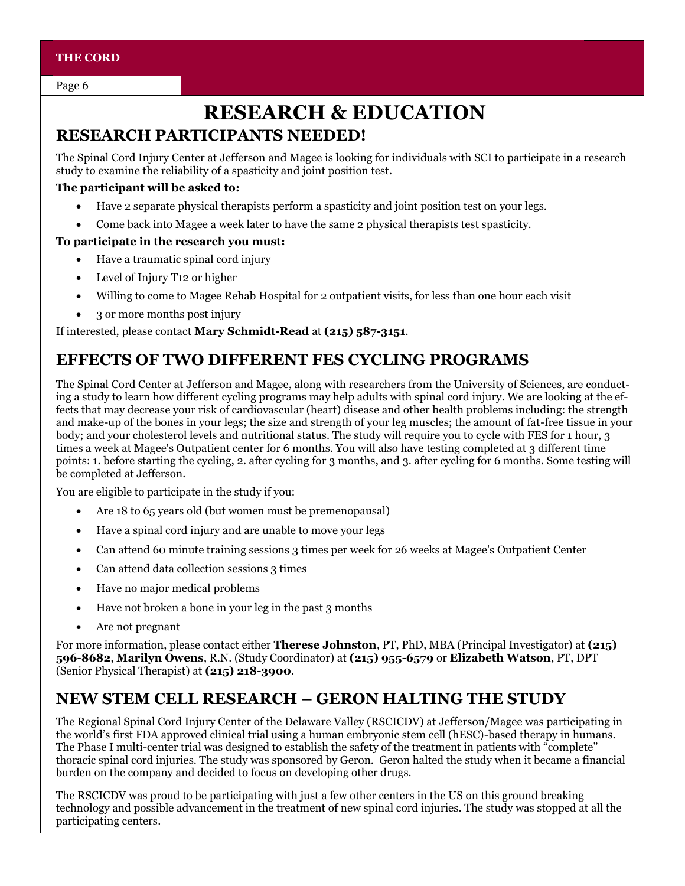Page 6

# **RESEARCH & EDUCATION**

## **RESEARCH PARTICIPANTS NEEDED!**

The Spinal Cord Injury Center at Jefferson and Magee is looking for individuals with SCI to participate in a research study to examine the reliability of a spasticity and joint position test.

#### **The participant will be asked to:**

- Have 2 separate physical therapists perform a spasticity and joint position test on your legs.
- Come back into Magee a week later to have the same 2 physical therapists test spasticity.

#### **To participate in the research you must:**

- Have a traumatic spinal cord injury
- Level of Injury T12 or higher
- Willing to come to Magee Rehab Hospital for 2 outpatient visits, for less than one hour each visit
- 3 or more months post injury

If interested, please contact **Mary Schmidt-Read** at **(215) 587-3151**.

## **EFFECTS OF TWO DIFFERENT FES CYCLING PROGRAMS**

The Spinal Cord Center at Jefferson and Magee, along with researchers from the University of Sciences, are conducting a study to learn how different cycling programs may help adults with spinal cord injury. We are looking at the effects that may decrease your risk of cardiovascular (heart) disease and other health problems including: the strength and make-up of the bones in your legs; the size and strength of your leg muscles; the amount of fat-free tissue in your body; and your cholesterol levels and nutritional status. The study will require you to cycle with FES for 1 hour, 3 times a week at Magee's Outpatient center for 6 months. You will also have testing completed at 3 different time points: 1. before starting the cycling, 2. after cycling for 3 months, and 3. after cycling for 6 months. Some testing will be completed at Jefferson.

You are eligible to participate in the study if you:

- Are 18 to 65 years old (but women must be premenopausal)
- Have a spinal cord injury and are unable to move your legs
- Can attend 60 minute training sessions 3 times per week for 26 weeks at Magee's Outpatient Center
- Can attend data collection sessions 3 times
- Have no major medical problems
- Have not broken a bone in your leg in the past 3 months
- Are not pregnant

For more information, please contact either **Therese Johnston**, PT, PhD, MBA (Principal Investigator) at **(215) 596-8682**, **Marilyn Owens**, R.N. (Study Coordinator) at **(215) 955-6579** or **Elizabeth Watson**, PT, DPT (Senior Physical Therapist) at **(215) 218-3900**.

## **NEW STEM CELL RESEARCH – GERON HALTING THE STUDY**

The Regional Spinal Cord Injury Center of the Delaware Valley (RSCICDV) at Jefferson/Magee was participating in the world's first FDA approved clinical trial using a human embryonic stem cell (hESC)-based therapy in humans. The Phase I multi-center trial was designed to establish the safety of the treatment in patients with "complete" thoracic spinal cord injuries. The study was sponsored by Geron. Geron halted the study when it became a financial burden on the company and decided to focus on developing other drugs.

The RSCICDV was proud to be participating with just a few other centers in the US on this ground breaking technology and possible advancement in the treatment of new spinal cord injuries. The study was stopped at all the participating centers.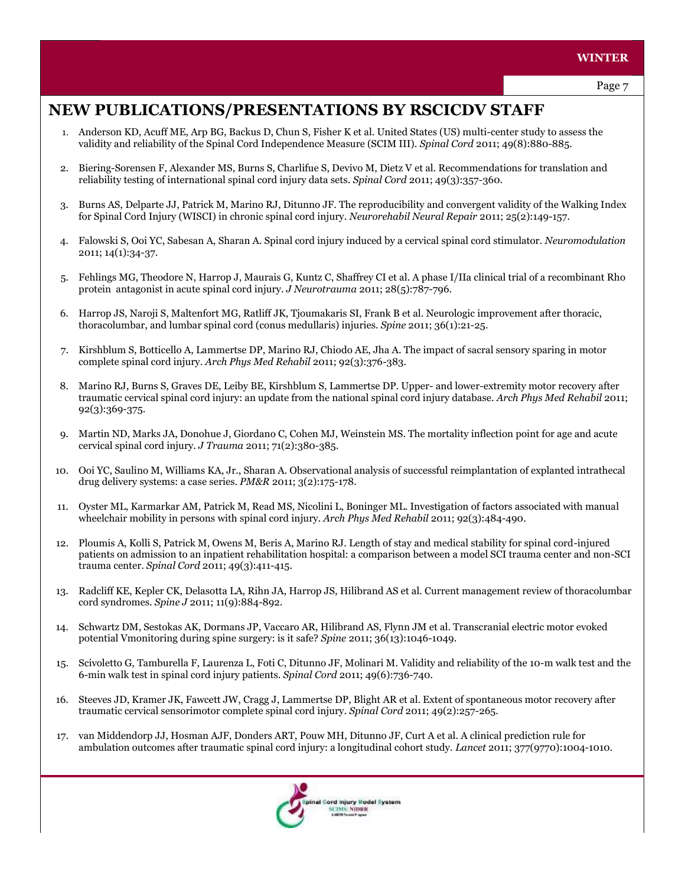## **NEW PUBLICATIONS/PRESENTATIONS BY RSCICDV STAFF**

- 1. Anderson KD, Acuff ME, Arp BG, Backus D, Chun S, Fisher K et al. United States (US) multi-center study to assess the validity and reliability of the Spinal Cord Independence Measure (SCIM III). *Spinal Cord* 2011; 49(8):880-885.
- 2. Biering-Sorensen F, Alexander MS, Burns S, Charlifue S, Devivo M, Dietz V et al. Recommendations for translation and reliability testing of international spinal cord injury data sets. *Spinal Cord* 2011; 49(3):357-360.
- 3. Burns AS, Delparte JJ, Patrick M, Marino RJ, Ditunno JF. The reproducibility and convergent validity of the Walking Index for Spinal Cord Injury (WISCI) in chronic spinal cord injury. *Neurorehabil Neural Repair* 2011; 25(2):149-157.
- 4. Falowski S, Ooi YC, Sabesan A, Sharan A. Spinal cord injury induced by a cervical spinal cord stimulator. *Neuromodulation* 2011; 14(1):34-37.
- 5. Fehlings MG, Theodore N, Harrop J, Maurais G, Kuntz C, Shaffrey CI et al. A phase I/IIa clinical trial of a recombinant Rho protein antagonist in acute spinal cord injury. *J Neurotrauma* 2011; 28(5):787-796.
- 6. Harrop JS, Naroji S, Maltenfort MG, Ratliff JK, Tjoumakaris SI, Frank B et al. Neurologic improvement after thoracic, thoracolumbar, and lumbar spinal cord (conus medullaris) injuries. *Spine* 2011; 36(1):21-25.
- 7. Kirshblum S, Botticello A, Lammertse DP, Marino RJ, Chiodo AE, Jha A. The impact of sacral sensory sparing in motor complete spinal cord injury. *Arch Phys Med Rehabil* 2011; 92(3):376-383.
- 8. Marino RJ, Burns S, Graves DE, Leiby BE, Kirshblum S, Lammertse DP. Upper- and lower-extremity motor recovery after traumatic cervical spinal cord injury: an update from the national spinal cord injury database. *Arch Phys Med Rehabil* 2011; 92(3):369-375.
- 9. Martin ND, Marks JA, Donohue J, Giordano C, Cohen MJ, Weinstein MS. The mortality inflection point for age and acute cervical spinal cord injury. *J Trauma* 2011; 71(2):380-385.
- 10. Ooi YC, Saulino M, Williams KA, Jr., Sharan A. Observational analysis of successful reimplantation of explanted intrathecal drug delivery systems: a case series. *PM&R* 2011; 3(2):175-178.
- 11. Oyster ML, Karmarkar AM, Patrick M, Read MS, Nicolini L, Boninger ML. Investigation of factors associated with manual wheelchair mobility in persons with spinal cord injury. *Arch Phys Med Rehabil* 2011; 92(3):484-490.
- 12. Ploumis A, Kolli S, Patrick M, Owens M, Beris A, Marino RJ. Length of stay and medical stability for spinal cord-injured patients on admission to an inpatient rehabilitation hospital: a comparison between a model SCI trauma center and non-SCI trauma center. *Spinal Cord* 2011; 49(3):411-415.
- 13. Radcliff KE, Kepler CK, Delasotta LA, Rihn JA, Harrop JS, Hilibrand AS et al. Current management review of thoracolumbar cord syndromes. *Spine J* 2011; 11(9):884-892.
- 14. Schwartz DM, Sestokas AK, Dormans JP, Vaccaro AR, Hilibrand AS, Flynn JM et al. Transcranial electric motor evoked potential Vmonitoring during spine surgery: is it safe? *Spine* 2011; 36(13):1046-1049.
- 15. Scivoletto G, Tamburella F, Laurenza L, Foti C, Ditunno JF, Molinari M. Validity and reliability of the 10-m walk test and the 6-min walk test in spinal cord injury patients. *Spinal Cord* 2011; 49(6):736-740.
- 16. Steeves JD, Kramer JK, Fawcett JW, Cragg J, Lammertse DP, Blight AR et al. Extent of spontaneous motor recovery after traumatic cervical sensorimotor complete spinal cord injury. *Spinal Cord* 2011; 49(2):257-265.
- 17. van Middendorp JJ, Hosman AJF, Donders ART, Pouw MH, Ditunno JF, Curt A et al. A clinical prediction rule for ambulation outcomes after traumatic spinal cord injury: a longitudinal cohort study. *Lancet* 2011; 377(9770):1004-1010.

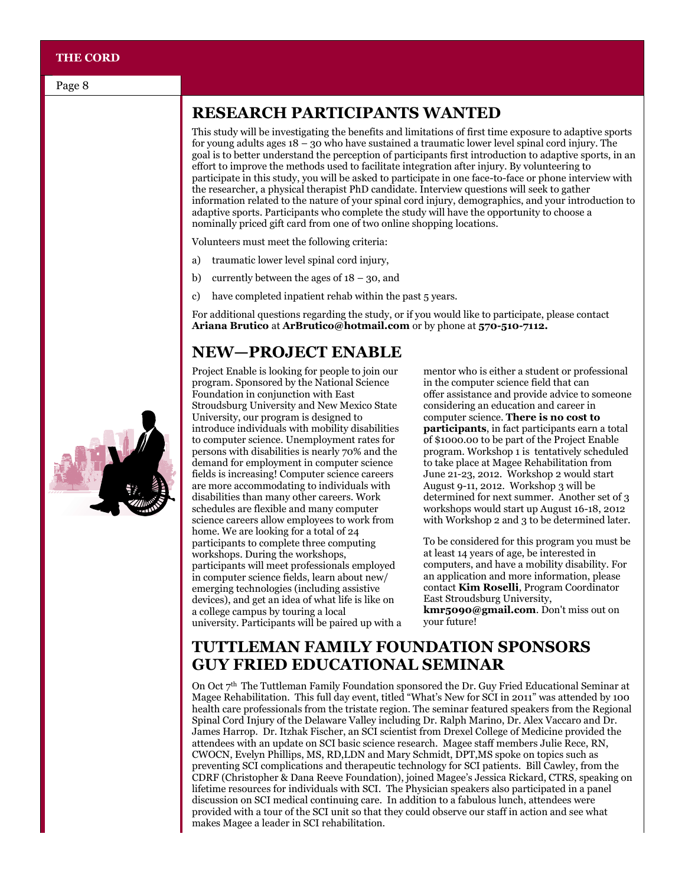#### **THE CORD**

## **RESEARCH PARTICIPANTS WANTED**

This study will be investigating the benefits and limitations of first time exposure to adaptive sports for young adults ages 18 – 30 who have sustained a traumatic lower level spinal cord injury. The goal is to better understand the perception of participants first introduction to adaptive sports, in an effort to improve the methods used to facilitate integration after injury. By volunteering to participate in this study, you will be asked to participate in one face-to-face or phone interview with the researcher, a physical therapist PhD candidate. Interview questions will seek to gather information related to the nature of your spinal cord injury, demographics, and your introduction to adaptive sports. Participants who complete the study will have the opportunity to choose a nominally priced gift card from one of two online shopping locations.

Volunteers must meet the following criteria:

- a) traumatic lower level spinal cord injury,
- b) currently between the ages of  $18 30$ , and
- c) have completed inpatient rehab within the past 5 years.

For additional questions regarding the study, or if you would like to participate, please contact **Ariana Brutico** at **ArBrutico@hotmail.com** or by phone at **570-510-7112.** 

#### **NEW—PROJECT ENABLE**

Project Enable is looking for people to join our program. Sponsored by the National Science Foundation in conjunction with East Stroudsburg University and New Mexico State University, our program is designed to introduce individuals with mobility disabilities to computer science. Unemployment rates for persons with disabilities is nearly 70% and the demand for employment in computer science fields is increasing! Computer science careers are more accommodating to individuals with disabilities than many other careers. Work schedules are flexible and many computer science careers allow employees to work from home. We are looking for a total of 24 participants to complete three computing workshops. During the workshops, participants will meet professionals employed in computer science fields, learn about new/ emerging technologies (including assistive devices), and get an idea of what life is like on a college campus by touring a local university. Participants will be paired up with a

mentor who is either a student or professional in the computer science field that can offer assistance and provide advice to someone considering an education and career in computer science. **There is no cost to participants**, in fact participants earn a total of \$1000.00 to be part of the Project Enable program. Workshop 1 is tentatively scheduled to take place at Magee Rehabilitation from June 21-23, 2012. Workshop 2 would start August 9-11, 2012. Workshop 3 will be determined for next summer. Another set of 3 workshops would start up August 16-18, 2012 with Workshop 2 and 3 to be determined later.

To be considered for this program you must be at least 14 years of age, be interested in computers, and have a mobility disability. For an application and more information, please contact **Kim Roselli**, Program Coordinator East Stroudsburg University, **kmr5090@gmail.com**. Don't miss out on your future!

#### **TUTTLEMAN FAMILY FOUNDATION SPONSORS GUY FRIED EDUCATIONAL SEMINAR**

On Oct  $7<sup>th</sup>$  The Tuttleman Family Foundation sponsored the Dr. Guy Fried Educational Seminar at Magee Rehabilitation. This full day event, titled "What's New for SCI in 2011" was attended by 100 health care professionals from the tristate region. The seminar featured speakers from the Regional Spinal Cord Injury of the Delaware Valley including Dr. Ralph Marino, Dr. Alex Vaccaro and Dr. James Harrop. Dr. Itzhak Fischer, an SCI scientist from Drexel College of Medicine provided the attendees with an update on SCI basic science research. Magee staff members Julie Rece, RN, CWOCN, Evelyn Phillips, MS, RD,LDN and Mary Schmidt, DPT,MS spoke on topics such as preventing SCI complications and therapeutic technology for SCI patients. Bill Cawley, from the CDRF (Christopher & Dana Reeve Foundation), joined Magee's Jessica Rickard, CTRS, speaking on lifetime resources for individuals with SCI. The Physician speakers also participated in a panel discussion on SCI medical continuing care. In addition to a fabulous lunch, attendees were provided with a tour of the SCI unit so that they could observe our staff in action and see what makes Magee a leader in SCI rehabilitation.

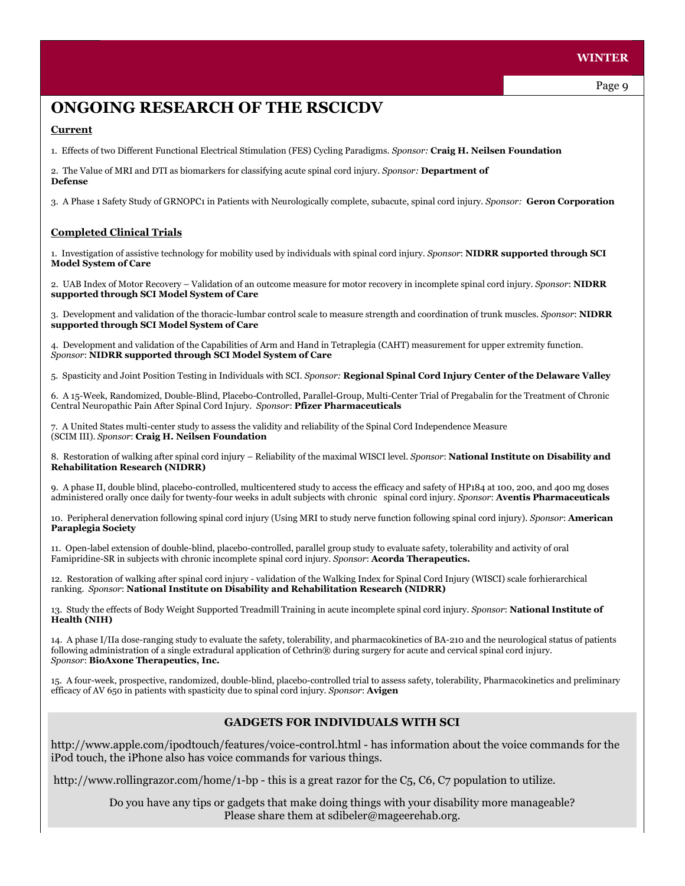#### **WINTER**

## **ONGOING RESEARCH OF THE RSCICDV**

#### **Current**

1. Effects of two Different Functional Electrical Stimulation (FES) Cycling Paradigms. *Sponsor:* **Craig H. Neilsen Foundation**

2. The Value of MRI and DTI as biomarkers for classifying acute spinal cord injury. *Sponsor:* **Department of Defense**

3. A Phase 1 Safety Study of GRNOPC1 in Patients with Neurologically complete, subacute, spinal cord injury. *Sponsor:* **Geron Corporation**

#### **Completed Clinical Trials**

1. Investigation of assistive technology for mobility used by individuals with spinal cord injury. *Sponsor*: **NIDRR supported through SCI Model System of Care**

2. UAB Index of Motor Recovery – Validation of an outcome measure for motor recovery in incomplete spinal cord injury. *Sponsor*: **NIDRR supported through SCI Model System of Care**

3. Development and validation of the thoracic-lumbar control scale to measure strength and coordination of trunk muscles. *Sponsor*: **NIDRR supported through SCI Model System of Care**

4. Development and validation of the Capabilities of Arm and Hand in Tetraplegia (CAHT) measurement for upper extremity function. *Sponsor*: **NIDRR supported through SCI Model System of Care**

5. Spasticity and Joint Position Testing in Individuals with SCI. *Sponsor:* **Regional Spinal Cord Injury Center of the Delaware Valley**

6. A 15-Week, Randomized, Double-Blind, Placebo-Controlled, Parallel-Group, Multi-Center Trial of Pregabalin for the Treatment of Chronic Central Neuropathic Pain After Spinal Cord Injury. *Sponsor*: **Pfizer Pharmaceuticals**

7. A United States multi-center study to assess the validity and reliability of the Spinal Cord Independence Measure (SCIM III). *Sponsor*: **Craig H. Neilsen Foundation**

8. Restoration of walking after spinal cord injury – Reliability of the maximal WISCI level. *Sponsor*: **National Institute on Disability and Rehabilitation Research (NIDRR)**

9. A phase II, double blind, placebo-controlled, multicentered study to access the efficacy and safety of HP184 at 100, 200, and 400 mg doses administered orally once daily for twenty-four weeks in adult subjects with chronic spinal cord injury. *Sponsor*: **Aventis Pharmaceuticals**

10. Peripheral denervation following spinal cord injury (Using MRI to study nerve function following spinal cord injury). *Sponsor*: **American Paraplegia Society**

11. Open-label extension of double-blind, placebo-controlled, parallel group study to evaluate safety, tolerability and activity of oral Famipridine-SR in subjects with chronic incomplete spinal cord injury. *Sponsor*: **Acorda Therapeutics.**

12. Restoration of walking after spinal cord injury - validation of the Walking Index for Spinal Cord Injury (WISCI) scale forhierarchical ranking. *Sponsor*: **National Institute on Disability and Rehabilitation Research (NIDRR)**

13. Study the effects of Body Weight Supported Treadmill Training in acute incomplete spinal cord injury. *Sponsor*: **National Institute of Health (NIH)**

14. A phase I/IIa dose-ranging study to evaluate the safety, tolerability, and pharmacokinetics of BA-210 and the neurological status of patients following administration of a single extradural application of Cethrin® during surgery for acute and cervical spinal cord injury. *Sponsor*: **BioAxone Therapeutics, Inc.**

15. A four-week, prospective, randomized, double-blind, placebo-controlled trial to assess safety, tolerability, Pharmacokinetics and preliminary efficacy of AV 650 in patients with spasticity due to spinal cord injury. *Sponsor*: **Avigen**

#### **GADGETS FOR INDIVIDUALS WITH SCI**

http://www.apple.com/ipodtouch/features/voice-control.html - has information about the voice commands for the iPod touch, the iPhone also has voice commands for various things.

http://www.rollingrazor.com/home/1-bp - this is a great razor for the C5, C6, C7 population to utilize.

Do you have any tips or gadgets that make doing things with your disability more manageable? Please share them at sdibeler@mageerehab.org.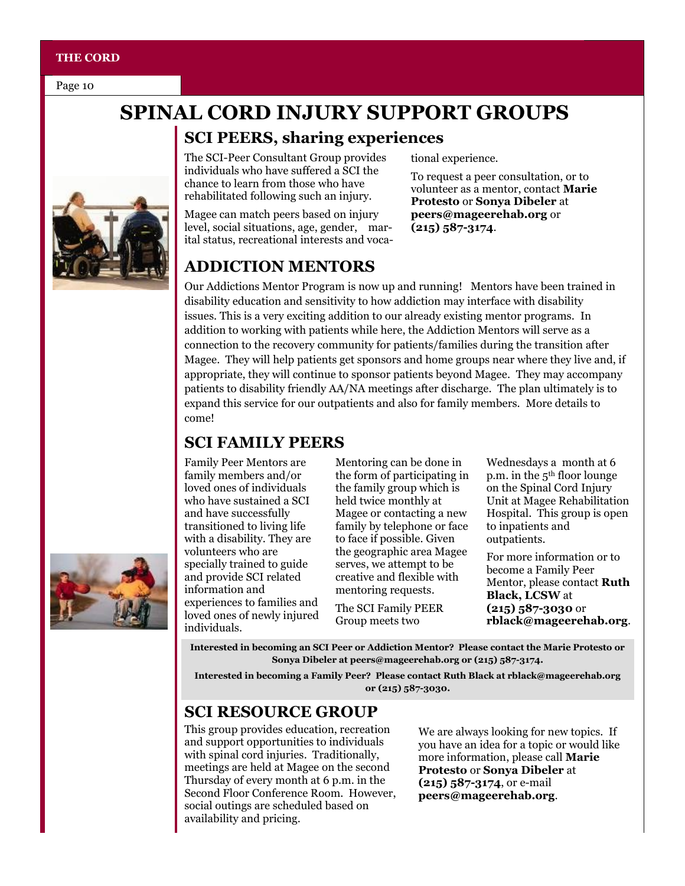#### **THE CORD**

Page 10

# **SPINAL CORD INJURY SUPPORT GROUPS**

## **SCI PEERS, sharing experiences**

The SCI-Peer Consultant Group provides individuals who have suffered a SCI the chance to learn from those who have rehabilitated following such an injury.

Magee can match peers based on injury level, social situations, age, gender, marital status, recreational interests and vocational experience.

To request a peer consultation, or to volunteer as a mentor, contact **Marie Protesto** or **Sonya Dibeler** at **peers@mageerehab.org** or **(215) 587-3174**.

## **ADDICTION MENTORS**

Our Addictions Mentor Program is now up and running! Mentors have been trained in disability education and sensitivity to how addiction may interface with disability issues. This is a very exciting addition to our already existing mentor programs. In addition to working with patients while here, the Addiction Mentors will serve as a connection to the recovery community for patients/families during the transition after Magee. They will help patients get sponsors and home groups near where they live and, if appropriate, they will continue to sponsor patients beyond Magee. They may accompany patients to disability friendly AA/NA meetings after discharge. The plan ultimately is to expand this service for our outpatients and also for family members. More details to come!

## **SCI FAMILY PEERS**

Family Peer Mentors are family members and/or loved ones of individuals who have sustained a SCI and have successfully transitioned to living life with a disability. They are volunteers who are specially trained to guide and provide SCI related information and experiences to families and loved ones of newly injured individuals.

Mentoring can be done in the form of participating in the family group which is held twice monthly at Magee or contacting a new family by telephone or face to face if possible. Given the geographic area Magee serves, we attempt to be creative and flexible with mentoring requests.

The SCI Family PEER Group meets two

Wednesdays a month at 6 p.m. in the 5th floor lounge on the Spinal Cord Injury Unit at Magee Rehabilitation Hospital. This group is open to inpatients and outpatients.

For more information or to become a Family Peer Mentor, please contact **Ruth Black, LCSW** at **(215) 587-3030** or **rblack@mageerehab.org**.

**Interested in becoming an SCI Peer or Addiction Mentor? Please contact the Marie Protesto or Sonya Dibeler at peers@mageerehab.org or (215) 587-3174.** 

**Interested in becoming a Family Peer? Please contact Ruth Black at rblack@mageerehab.org or (215) 587-3030.**

## **SCI RESOURCE GROUP**

This group provides education, recreation and support opportunities to individuals with spinal cord injuries. Traditionally, meetings are held at Magee on the second Thursday of every month at 6 p.m. in the Second Floor Conference Room. However, social outings are scheduled based on availability and pricing.

We are always looking for new topics. If you have an idea for a topic or would like more information, please call **Marie Protesto** or **Sonya Dibeler** at **(215) 587-3174**, or e-mail **peers@mageerehab.org**.



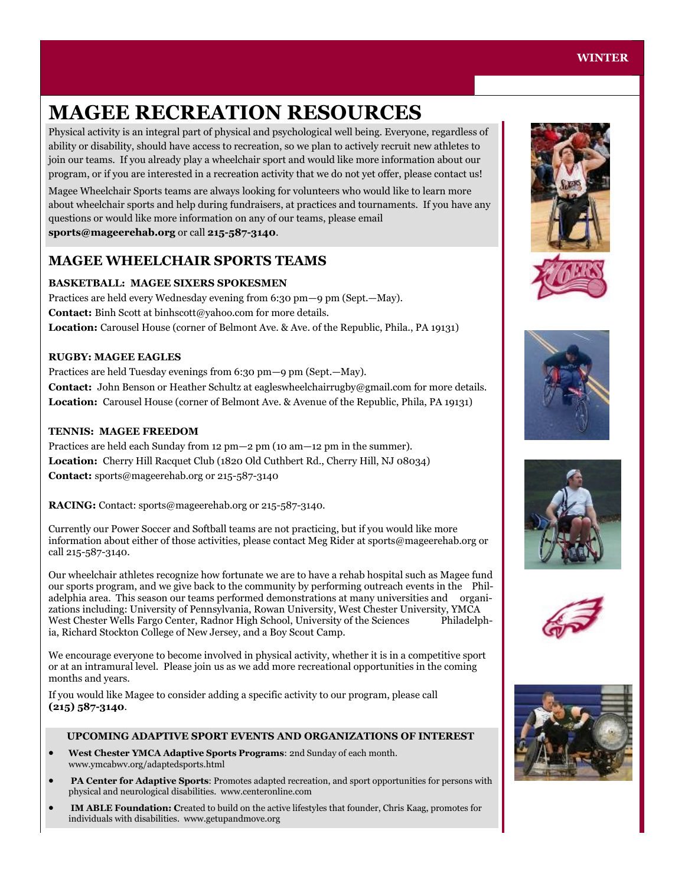# **MAGEE RECREATION RESOURCES**

Physical activity is an integral part of physical and psychological well being. Everyone, regardless of ability or disability, should have access to recreation, so we plan to actively recruit new athletes to join our teams. If you already play a wheelchair sport and would like more information about our program, or if you are interested in a recreation activity that we do not yet offer, please contact us!

Magee Wheelchair Sports teams are always looking for volunteers who would like to learn more about wheelchair sports and help during fundraisers, at practices and tournaments. If you have any questions or would like more information on any of our teams, please email **sports@mageerehab.org** or call **215-587-3140**.

#### **MAGEE WHEELCHAIR SPORTS TEAMS**

#### **BASKETBALL: MAGEE SIXERS SPOKESMEN**

Practices are held every Wednesday evening from 6:30 pm—9 pm (Sept.—May). **Contact:** Binh Scott at binhscott@yahoo.com for more details. **Location:** Carousel House (corner of Belmont Ave. & Ave. of the Republic, Phila., PA 19131)

#### **RUGBY: MAGEE EAGLES**

Practices are held Tuesday evenings from 6:30 pm—9 pm (Sept.—May). **Contact:** John Benson or Heather Schultz at eagleswheelchairrugby@gmail.com for more details. **Location:** Carousel House (corner of Belmont Ave. & Avenue of the Republic, Phila, PA 19131)

#### **TENNIS: MAGEE FREEDOM**

Practices are held each Sunday from 12 pm—2 pm (10 am—12 pm in the summer). **Location:** Cherry Hill Racquet Club (1820 Old Cuthbert Rd., Cherry Hill, NJ 08034) **Contact:** sports@mageerehab.org or 215-587-3140

**RACING:** Contact: sports@mageerehab.org or 215-587-3140.

Currently our Power Soccer and Softball teams are not practicing, but if you would like more information about either of those activities, please contact Meg Rider at sports@mageerehab.org or call 215-587-3140.

Our wheelchair athletes recognize how fortunate we are to have a rehab hospital such as Magee fund our sports program, and we give back to the community by performing outreach events in the Philadelphia area. This season our teams performed demonstrations at many universities and organizations including: University of Pennsylvania, Rowan University, West Chester University, YMCA West Chester Wells Fargo Center, Radnor High School, University of the Sciences Philadelphia, Richard Stockton College of New Jersey, and a Boy Scout Camp.

We encourage everyone to become involved in physical activity, whether it is in a competitive sport or at an intramural level. Please join us as we add more recreational opportunities in the coming months and years.

If you would like Magee to consider adding a specific activity to our program, please call **(215) 587-3140**.

#### **UPCOMING ADAPTIVE SPORT EVENTS AND ORGANIZATIONS OF INTEREST**

- **West Chester YMCA Adaptive Sports Programs**: 2nd Sunday of each month. www.ymcabwv.org/adaptedsports.html
- **PA Center for Adaptive Sports**: Promotes adapted recreation, and sport opportunities for persons with physical and neurological disabilities. www.centeronline.com
- **IM ABLE Foundation: C**reated to build on the active lifestyles that founder, Chris Kaag, promotes for individuals with disabilities. www.getupandmove.org











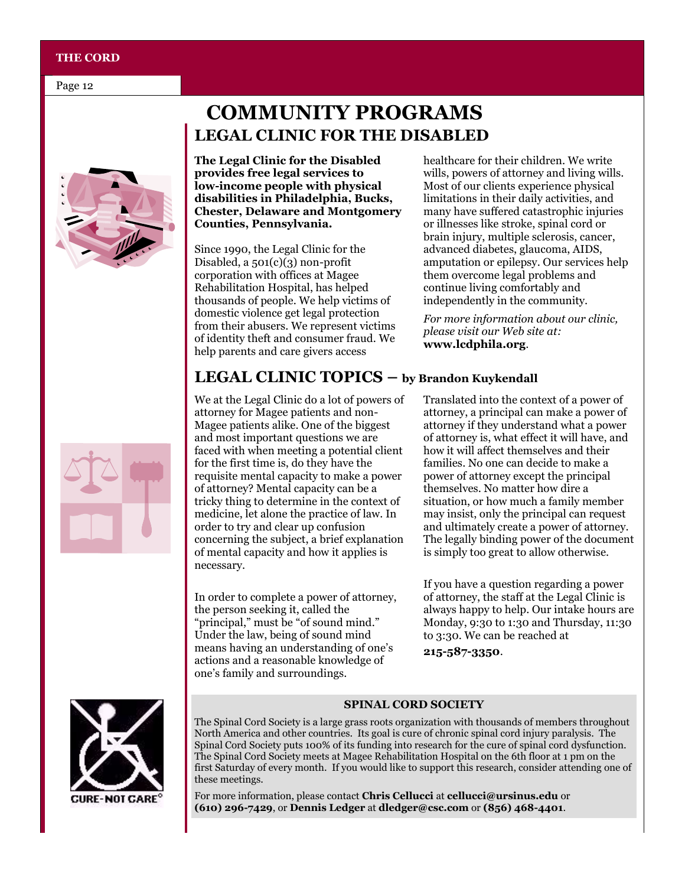#### **THE CORD**

Page 12



# **COMMUNITY PROGRAMS LEGAL CLINIC FOR THE DISABLED**

**The Legal Clinic for the Disabled provides free legal services to low-income people with physical disabilities in Philadelphia, Bucks, Chester, Delaware and Montgomery Counties, Pennsylvania.**

Since 1990, the Legal Clinic for the Disabled, a  $501(c)(3)$  non-profit corporation with offices at Magee Rehabilitation Hospital, has helped thousands of people. We help victims of domestic violence get legal protection from their abusers. We represent victims of identity theft and consumer fraud. We help parents and care givers access

healthcare for their children. We write wills, powers of attorney and living wills. Most of our clients experience physical limitations in their daily activities, and many have suffered catastrophic injuries or illnesses like stroke, spinal cord or brain injury, multiple sclerosis, cancer, advanced diabetes, glaucoma, AIDS, amputation or epilepsy. Our services help them overcome legal problems and continue living comfortably and independently in the community.

*For more information about our clinic, please visit our Web site at:*  **www.lcdphila.org**.

## **LEGAL CLINIC TOPICS – by Brandon Kuykendall**

We at the Legal Clinic do a lot of powers of attorney for Magee patients and non-Magee patients alike. One of the biggest and most important questions we are faced with when meeting a potential client for the first time is, do they have the requisite mental capacity to make a power of attorney? Mental capacity can be a tricky thing to determine in the context of medicine, let alone the practice of law. In order to try and clear up confusion concerning the subject, a brief explanation of mental capacity and how it applies is necessary.

In order to complete a power of attorney, the person seeking it, called the "principal," must be "of sound mind." Under the law, being of sound mind means having an understanding of one's actions and a reasonable knowledge of one's family and surroundings.

Translated into the context of a power of attorney, a principal can make a power of attorney if they understand what a power of attorney is, what effect it will have, and how it will affect themselves and their families. No one can decide to make a power of attorney except the principal themselves. No matter how dire a situation, or how much a family member may insist, only the principal can request and ultimately create a power of attorney. The legally binding power of the document is simply too great to allow otherwise.

If you have a question regarding a power of attorney, the staff at the Legal Clinic is always happy to help. Our intake hours are Monday, 9:30 to 1:30 and Thursday, 11:30 to 3:30. We can be reached at

**215-587-3350**.



**SPINAL CORD SOCIETY**

The Spinal Cord Society is a large grass roots organization with thousands of members throughout North America and other countries. Its goal is cure of chronic spinal cord injury paralysis. The Spinal Cord Society puts 100% of its funding into research for the cure of spinal cord dysfunction. The Spinal Cord Society meets at Magee Rehabilitation Hospital on the 6th floor at 1 pm on the first Saturday of every month. If you would like to support this research, consider attending one of these meetings.

For more information, please contact **Chris Cellucci** at **cellucci@ursinus.edu** or **(610) 296-7429**, or **Dennis Ledger** at **dledger@csc.com** or **(856) 468-4401**.

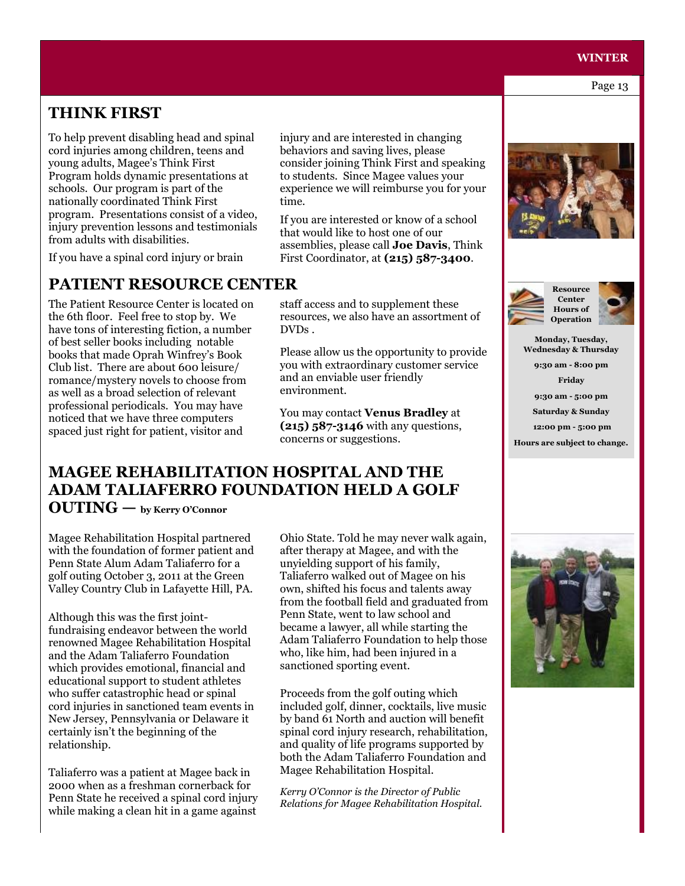## **WINTER WINTER**

Page 13 Page 13

## **THINK FIRST**

To help prevent disabling head and spinal cord injuries among children, teens and young adults, Magee's Think First Program holds dynamic presentations at schools. Our program is part of the nationally coordinated Think First program. Presentations consist of a video, injury prevention lessons and testimonials from adults with disabilities.

If you have a spinal cord injury or brain

#### **PATIENT RESOURCE CENTER**

The Patient Resource Center is located on the 6th floor. Feel free to stop by. We have tons of interesting fiction, a number of best seller books including notable books that made Oprah Winfrey's Book Club list. There are about 600 leisure/ romance/mystery novels to choose from as well as a broad selection of relevant professional periodicals. You may have noticed that we have three computers spaced just right for patient, visitor and

injury and are interested in changing behaviors and saving lives, please consider joining Think First and speaking to students. Since Magee values your experience we will reimburse you for your time.

If you are interested or know of a school that would like to host one of our assemblies, please call **Joe Davis**, Think First Coordinator, at **(215) 587-3400**.

staff access and to supplement these resources, we also have an assortment of DVDs .

Please allow us the opportunity to provide you with extraordinary customer service and an enviable user friendly environment.

You may contact **Venus Bradley** at **(215) 587-3146** with any questions, concerns or suggestions.

## **MAGEE REHABILITATION HOSPITAL AND THE ADAM TALIAFERRO FOUNDATION HELD A GOLF**

**OUTING — by Kerry O'Connor**

Magee Rehabilitation Hospital partnered with the foundation of former patient and Penn State Alum Adam Taliaferro for a golf outing October 3, 2011 at the Green Valley Country Club in Lafayette Hill, PA.

Although this was the first jointfundraising endeavor between the world renowned Magee Rehabilitation Hospital and the Adam Taliaferro Foundation which provides emotional, financial and educational support to student athletes who suffer catastrophic head or spinal cord injuries in sanctioned team events in New Jersey, Pennsylvania or Delaware it certainly isn't the beginning of the relationship.

Taliaferro was a patient at Magee back in 2000 when as a freshman cornerback for Penn State he received a spinal cord injury while making a clean hit in a game against

Ohio State. Told he may never walk again, after therapy at Magee, and with the unyielding support of his family, Taliaferro walked out of Magee on his own, shifted his focus and talents away from the football field and graduated from Penn State, went to law school and became a lawyer, all while starting the Adam Taliaferro Foundation to help those who, like him, had been injured in a sanctioned sporting event.

Proceeds from the golf outing which included golf, dinner, cocktails, live music by band 61 North and auction will benefit spinal cord injury research, rehabilitation, and quality of life programs supported by both the Adam Taliaferro Foundation and Magee Rehabilitation Hospital.

*Kerry O'Connor is the Director of Public Relations for Magee Rehabilitation Hospital.*







**Monday, Tuesday, Wednesday & Thursday** 

> **9:30 am - 8:00 pm Friday**

> **9:30 am - 5:00 pm**

**Saturday & Sunday** 

**12:00 pm - 5:00 pm**

**Hours are subject to change.**